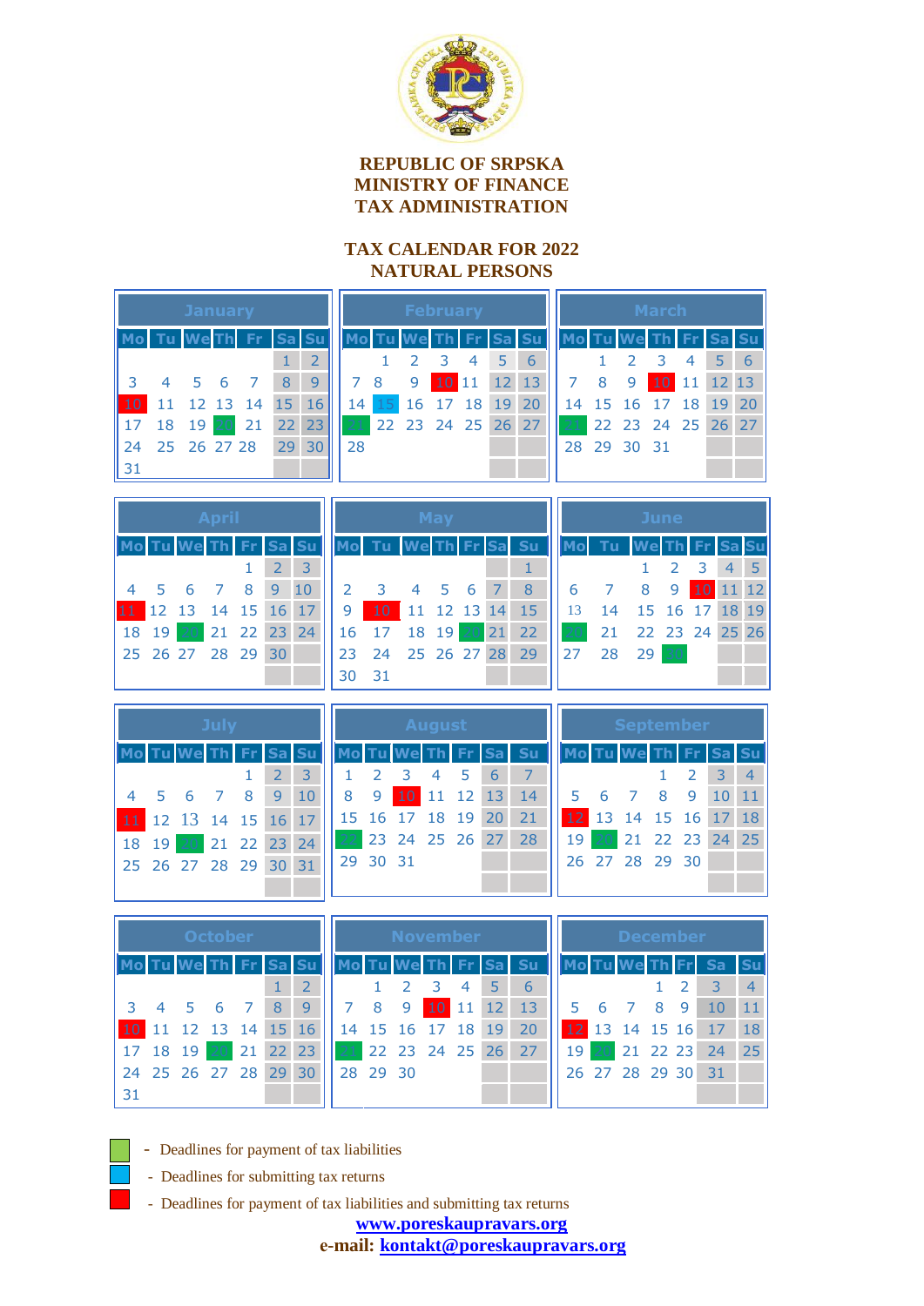

## **REPUBLIC OF SRPSKA MINISTRY OF FINANCE TAX ADMINISTRATION**

## **TAX CALENDAR FOR 2022 NATURAL PERSONS**

| <b>January</b> |                |            |    |     |       |         |  | <b>February</b> |                   |                  |                |      |  |           | <b>March</b>    |  |   |             |    |                      |            |           |
|----------------|----------------|------------|----|-----|-------|---------|--|-----------------|-------------------|------------------|----------------|------|--|-----------|-----------------|--|---|-------------|----|----------------------|------------|-----------|
|                |                |            |    |     | Sa Su |         |  |                 |                   | <b>Tu We Th.</b> |                | l Fr |  | <b>Su</b> |                 |  |   |             |    |                      |            | <b>Su</b> |
|                |                |            |    |     |       |         |  |                 |                   |                  |                | 4    |  | 6         |                 |  |   |             |    |                      |            | - 6       |
|                | 4              | $5\quad 6$ |    |     | 8     | 9       |  |                 | - 8               | 9                | 10 11          |      |  | 12 13     |                 |  | 8 | 9           | 10 | -11                  | $12 \, 13$ |           |
| 10             |                | 12 13      |    | -14 | 15    | 16      |  | $14^{\prime}$   |                   |                  | 16 17 18 19 20 |      |  |           |                 |  |   |             |    | 14 15 16 17 18 19 20 |            |           |
| 17             |                | 18 19      | 20 | 21  |       | $22$ 23 |  | 21              | 22 23 24 25 26 27 |                  |                |      |  |           | 21 <sup>1</sup> |  |   |             |    | 22 23 24 25 26 27    |            |           |
|                | 24 25 26 27 28 |            |    |     |       | 29 30   |  | 28              |                   |                  |                |      |  |           |                 |  |   | 28 29 30 31 |    |                      |            |           |
| 31             |                |            |    |     |       |         |  |                 |                   |                  |                |      |  |           |                 |  |   |             |    |                      |            |           |
|                |                |            |    |     |       |         |  |                 |                   |                  |                |      |  |           |                 |  |   |             |    |                      |            |           |

| <b>April</b> |                      |  |  |                     |  |  |  |  |  |  |  |
|--------------|----------------------|--|--|---------------------|--|--|--|--|--|--|--|
|              | Mo Tu We Th Fr Sa Su |  |  |                     |  |  |  |  |  |  |  |
|              |                      |  |  | $1 \quad 2 \quad 3$ |  |  |  |  |  |  |  |
|              | 4 5 6 7 8 9 10       |  |  |                     |  |  |  |  |  |  |  |
|              | 11 12 13 14 15 16 17 |  |  |                     |  |  |  |  |  |  |  |
|              | 18 19 20 21 22 23 24 |  |  |                     |  |  |  |  |  |  |  |
|              | 25 26 27 28 29 30    |  |  |                     |  |  |  |  |  |  |  |
|              |                      |  |  |                     |  |  |  |  |  |  |  |

|                | Mo Tu We Th Fr Sa Su    |                |  |  |  |   |  |  |  |  |  |
|----------------|-------------------------|----------------|--|--|--|---|--|--|--|--|--|
|                |                         |                |  |  |  |   |  |  |  |  |  |
| $\overline{2}$ | $\overline{\mathbf{3}}$ | 4 5 6 7        |  |  |  | 8 |  |  |  |  |  |
| 9              | 10 11 12 13 14 15       |                |  |  |  |   |  |  |  |  |  |
| 16             | 17                      | 18 19 20 21 22 |  |  |  |   |  |  |  |  |  |
| 23             | 24 25 26 27 28 29       |                |  |  |  |   |  |  |  |  |  |
| 30             | 31                      |                |  |  |  |   |  |  |  |  |  |

| June |      |                    |     |             |    |    |  |  |  |  |
|------|------|--------------------|-----|-------------|----|----|--|--|--|--|
|      | - Tu | <b>We</b> Th Fr Sa |     |             |    |    |  |  |  |  |
|      |      |                    | 2 3 |             |    |    |  |  |  |  |
| 6    |      | 8                  | 9   | 10          | 11 | 12 |  |  |  |  |
| 13   | 14   |                    |     | 15 16 17 18 |    | 19 |  |  |  |  |
|      | 21   | 22 23 24 25 26     |     |             |    |    |  |  |  |  |
| 27   | 28   | 29                 |     |             |    |    |  |  |  |  |
|      |      |                    |     |             |    |    |  |  |  |  |

| <b>July</b> |       |                      |  |             |   |           |     | <b>August</b> |                 |                |       |    |           |    |            | <b>September</b>     |                |             |  |                |  |  |
|-------------|-------|----------------------|--|-------------|---|-----------|-----|---------------|-----------------|----------------|-------|----|-----------|----|------------|----------------------|----------------|-------------|--|----------------|--|--|
| Mo          |       |                      |  |             |   | <b>Su</b> |     |               | Mo Tu We Th Fr. |                |       |    | <b>Su</b> |    |            |                      |                | Th Fr Sa Su |  |                |  |  |
|             |       |                      |  |             |   |           |     |               |                 | $\overline{4}$ | 5     | 6  |           |    |            |                      |                |             |  | $\overline{4}$ |  |  |
|             |       | 4 5 6                |  | - 8         | 9 | 10        | 8   | 9             | $10^{\circ}$    |                | 11 12 | 13 | 14        |    | $5\quad 6$ | $\overline{7}$       | -8             | 9           |  | 11             |  |  |
|             |       | 11 12 13 14 15 16 17 |  |             |   |           |     |               | 15 16 17 18 19  |                |       | 20 | 21        |    |            | 12 13 14 15 16 17 18 |                |             |  |                |  |  |
|             | 18 19 | 20                   |  | 21 22 23 24 |   |           | 22. |               | 23 24 25 26 27  |                |       |    | 28        | 19 | 20         |                      | 21 22 23 24 25 |             |  |                |  |  |
|             |       | 25 26 27 28 29 30 31 |  |             |   |           |     | 29 30 31      |                 |                |       |    |           |    |            | 26 27 28 29 30       |                |             |  |                |  |  |
|             |       |                      |  |             |   |           |     |               |                 |                |       |    |           |    |            |                      |                |             |  |                |  |  |
|             |       |                      |  |             |   |           |     |               |                 |                |       |    |           |    |            |                      |                |             |  |                |  |  |

| <b>October</b>  |          |                |                |      |           |    |    | <b>November</b> |          |                   |       |       |                 |           |  | <b>December</b> |    |                   |    |   |                   |                |
|-----------------|----------|----------------|----------------|------|-----------|----|----|-----------------|----------|-------------------|-------|-------|-----------------|-----------|--|-----------------|----|-------------------|----|---|-------------------|----------------|
| Mol             |          |                |                | ⊪ Fr | <b>Sa</b> |    |    |                 |          |                   |       |       | <b>Sal</b>      | <b>Su</b> |  |                 |    |                   |    |   |                   | <b>Su</b>      |
|                 |          |                |                |      |           |    |    |                 |          |                   |       |       |                 | 6         |  |                 |    |                   |    |   |                   | $\overline{4}$ |
| $\overline{3}$  |          | 4 5 6          |                |      | -8        | 9  |    |                 | 8        | 9                 | 10 11 |       | 12 <sub>1</sub> | 13        |  | -5              | 6  |                   | -8 | 9 |                   | 11             |
| 10 <sup>1</sup> |          |                | 12 13 14 15 16 |      |           |    |    |                 |          | 14 15 16 17       |       | 18 19 |                 | 20        |  |                 |    |                   |    |   | 12 13 14 15 16 17 | 18             |
|                 | 17 18 19 |                | 20             |      | 21 22 23  |    | 21 |                 |          | 22 23 24 25 26 27 |       |       |                 |           |  | 19              | 20 |                   |    |   | 21 22 23 24       | 25             |
|                 |          | 24 25 26 27 28 |                |      | 29        | 30 |    |                 | 28 29 30 |                   |       |       |                 |           |  |                 |    | 26 27 28 29 30 31 |    |   |                   |                |
| 31              |          |                |                |      |           |    |    |                 |          |                   |       |       |                 |           |  |                 |    |                   |    |   |                   |                |
|                 |          |                |                |      |           |    |    |                 |          |                   |       |       |                 |           |  |                 |    |                   |    |   |                   |                |

- Deadlines for payment of tax liabilities
- Deadlines for submitting tax returns
- Deadlines for payment of tax liabilities and submitting tax returns

**[www.poreskaupravars.org](http://www.poreskaupravars.orge-/) е-mail: [kontakt@poreskaupravars.org](mailto:kontakt@poreskaupravars.org)**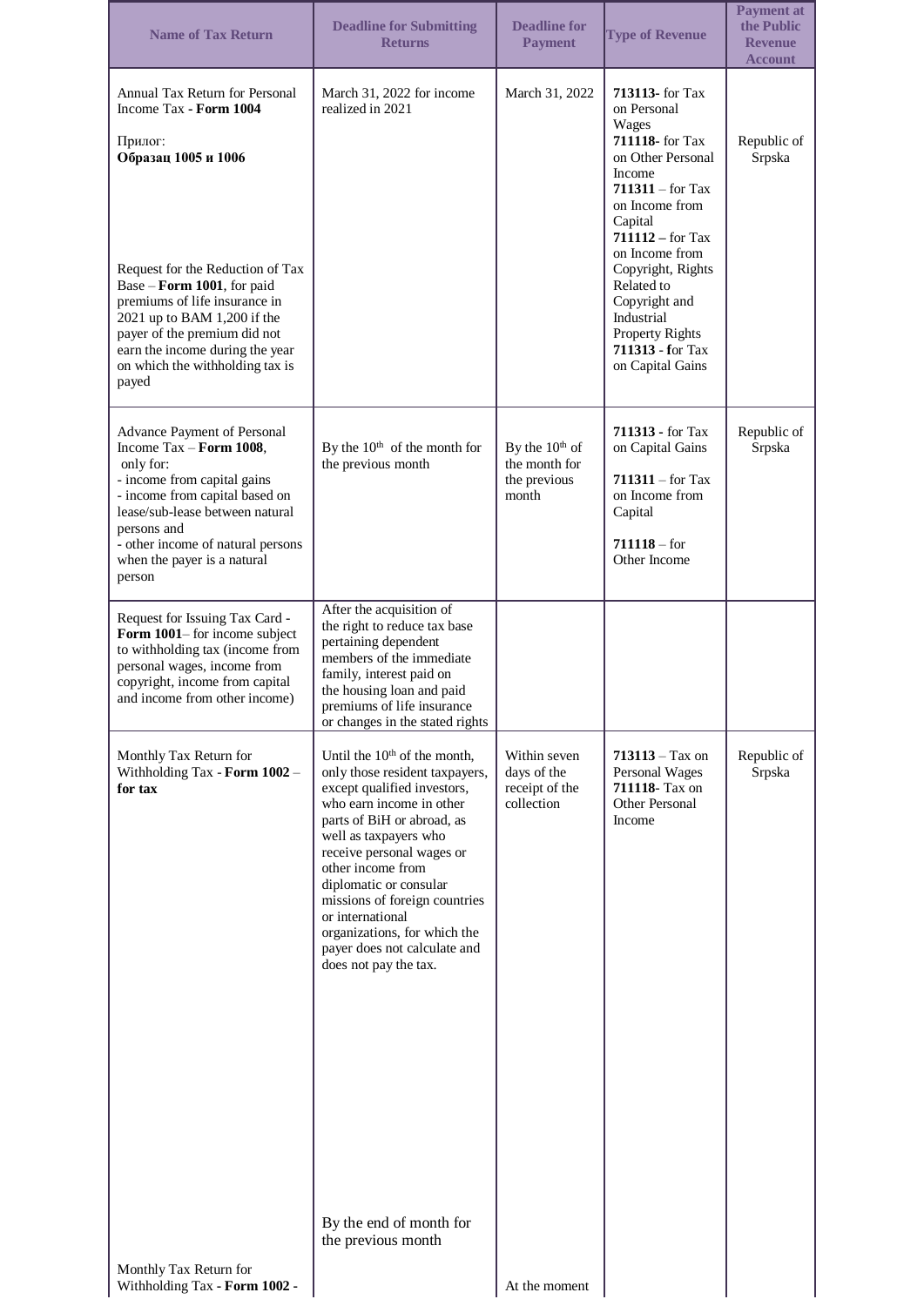| <b>Name of Tax Return</b>                                                                                                                                                                                                                                                                                                                   | <b>Deadline for Submitting</b><br><b>Returns</b>                                                                                                                                                                                                                                                                                                                                                                                                  | <b>Deadline for</b><br><b>Payment</b>                       | <b>Type of Revenue</b>                                                                                                                                                                                                                                                                                                 | <b>Payment at</b><br>the Public<br><b>Revenue</b><br><b>Account</b> |
|---------------------------------------------------------------------------------------------------------------------------------------------------------------------------------------------------------------------------------------------------------------------------------------------------------------------------------------------|---------------------------------------------------------------------------------------------------------------------------------------------------------------------------------------------------------------------------------------------------------------------------------------------------------------------------------------------------------------------------------------------------------------------------------------------------|-------------------------------------------------------------|------------------------------------------------------------------------------------------------------------------------------------------------------------------------------------------------------------------------------------------------------------------------------------------------------------------------|---------------------------------------------------------------------|
| Annual Tax Return for Personal<br>Income Tax - Form 1004<br>Прилог:<br>Образац 1005 и 1006<br>Request for the Reduction of Tax<br>Base - Form 1001, for paid<br>premiums of life insurance in<br>2021 up to BAM 1,200 if the<br>payer of the premium did not<br>earn the income during the year<br>on which the withholding tax is<br>payed | March 31, 2022 for income<br>realized in 2021                                                                                                                                                                                                                                                                                                                                                                                                     | March 31, 2022                                              | 713113- for Tax<br>on Personal<br>Wages<br>711118- for Tax<br>on Other Personal<br>Income<br>711311 – for Tax<br>on Income from<br>Capital<br>$711112 - for Tax$<br>on Income from<br>Copyright, Rights<br>Related to<br>Copyright and<br>Industrial<br><b>Property Rights</b><br>711313 - for Tax<br>on Capital Gains | Republic of<br>Srpska                                               |
| Advance Payment of Personal<br>Income $\text{Tax} - \text{Form } 1008$ ,<br>only for:<br>- income from capital gains<br>- income from capital based on<br>lease/sub-lease between natural<br>persons and<br>- other income of natural persons<br>when the payer is a natural<br>person                                                      | By the $10th$ of the month for<br>the previous month                                                                                                                                                                                                                                                                                                                                                                                              | By the $10th$ of<br>the month for<br>the previous<br>month  | <b>711313 - for Tax</b><br>on Capital Gains<br>$711311 -$ for Tax<br>on Income from<br>Capital<br>$711118 - for$<br>Other Income                                                                                                                                                                                       | Republic of<br>Srpska                                               |
| Request for Issuing Tax Card -<br>Form 1001–for income subject<br>to withholding tax (income from<br>personal wages, income from<br>copyright, income from capital<br>and income from other income)                                                                                                                                         | After the acquisition of<br>the right to reduce tax base<br>pertaining dependent<br>members of the immediate<br>family, interest paid on<br>the housing loan and paid<br>premiums of life insurance<br>or changes in the stated rights                                                                                                                                                                                                            |                                                             |                                                                                                                                                                                                                                                                                                                        |                                                                     |
| Monthly Tax Return for<br>Withholding Tax - Form 1002 -<br>for tax                                                                                                                                                                                                                                                                          | Until the 10 <sup>th</sup> of the month,<br>only those resident taxpayers,<br>except qualified investors,<br>who earn income in other<br>parts of BiH or abroad, as<br>well as taxpayers who<br>receive personal wages or<br>other income from<br>diplomatic or consular<br>missions of foreign countries<br>or international<br>organizations, for which the<br>payer does not calculate and<br>does not pay the tax.<br>By the end of month for | Within seven<br>days of the<br>receipt of the<br>collection | $713113 - Tax on$<br>Personal Wages<br>711118- Tax on<br>Other Personal<br>Income                                                                                                                                                                                                                                      | Republic of<br>Srpska                                               |
| Monthly Tax Return for<br>Withholding Tax - Form 1002 -                                                                                                                                                                                                                                                                                     | the previous month                                                                                                                                                                                                                                                                                                                                                                                                                                | At the moment                                               |                                                                                                                                                                                                                                                                                                                        |                                                                     |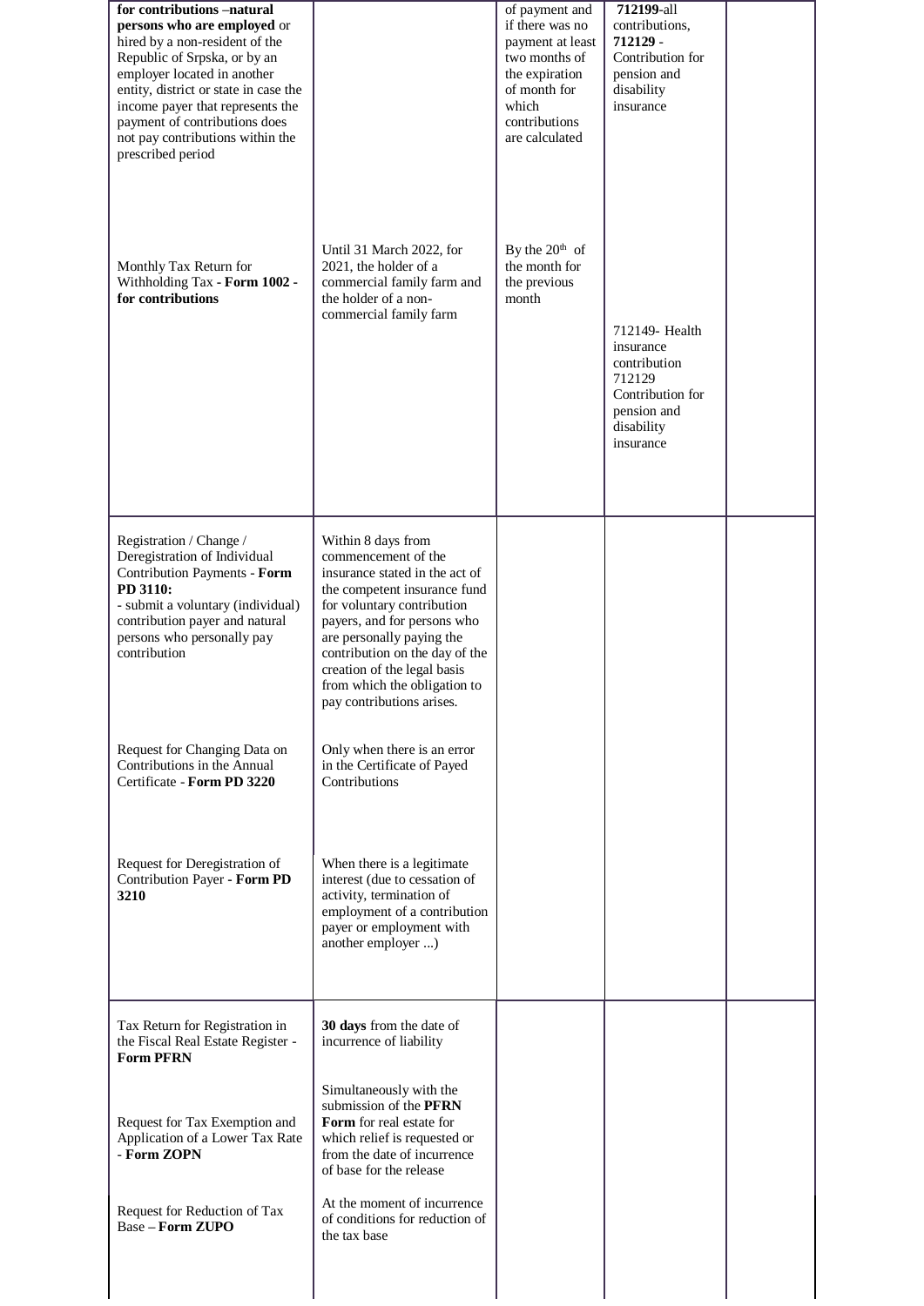| for contributions -natural<br>persons who are employed or<br>hired by a non-resident of the<br>Republic of Srpska, or by an<br>employer located in another<br>entity, district or state in case the<br>income payer that represents the<br>payment of contributions does<br>not pay contributions within the<br>prescribed period |                                                                                                                                                                                                                                                                                                                                     | of payment and<br>if there was no<br>payment at least<br>two months of<br>the expiration<br>of month for<br>which<br>contributions<br>are calculated | 712199-all<br>contributions,<br>712129 -<br>Contribution for<br>pension and<br>disability<br>insurance              |  |
|-----------------------------------------------------------------------------------------------------------------------------------------------------------------------------------------------------------------------------------------------------------------------------------------------------------------------------------|-------------------------------------------------------------------------------------------------------------------------------------------------------------------------------------------------------------------------------------------------------------------------------------------------------------------------------------|------------------------------------------------------------------------------------------------------------------------------------------------------|---------------------------------------------------------------------------------------------------------------------|--|
| Monthly Tax Return for<br>Withholding Tax - Form 1002 -<br>for contributions                                                                                                                                                                                                                                                      | Until 31 March 2022, for<br>2021, the holder of a<br>commercial family farm and<br>the holder of a non-<br>commercial family farm                                                                                                                                                                                                   | By the $20th$ of<br>the month for<br>the previous<br>month                                                                                           | 712149- Health<br>insurance<br>contribution<br>712129<br>Contribution for<br>pension and<br>disability<br>insurance |  |
| Registration / Change /<br>Deregistration of Individual<br>Contribution Payments - Form<br>PD 3110:<br>- submit a voluntary (individual)<br>contribution payer and natural<br>persons who personally pay<br>contribution                                                                                                          | Within 8 days from<br>commencement of the<br>insurance stated in the act of<br>the competent insurance fund<br>for voluntary contribution<br>payers, and for persons who<br>are personally paying the<br>contribution on the day of the<br>creation of the legal basis<br>from which the obligation to<br>pay contributions arises. |                                                                                                                                                      |                                                                                                                     |  |
| Request for Changing Data on<br>Contributions in the Annual<br>Certificate - Form PD 3220                                                                                                                                                                                                                                         | Only when there is an error<br>in the Certificate of Payed<br>Contributions                                                                                                                                                                                                                                                         |                                                                                                                                                      |                                                                                                                     |  |
| Request for Deregistration of<br>Contribution Payer - Form PD<br>3210                                                                                                                                                                                                                                                             | When there is a legitimate<br>interest (due to cessation of<br>activity, termination of<br>employment of a contribution<br>payer or employment with<br>another employer )                                                                                                                                                           |                                                                                                                                                      |                                                                                                                     |  |
| Tax Return for Registration in<br>the Fiscal Real Estate Register -<br><b>Form PFRN</b>                                                                                                                                                                                                                                           | 30 days from the date of<br>incurrence of liability                                                                                                                                                                                                                                                                                 |                                                                                                                                                      |                                                                                                                     |  |
| Request for Tax Exemption and<br>Application of a Lower Tax Rate<br>- Form ZOPN                                                                                                                                                                                                                                                   | Simultaneously with the<br>submission of the PFRN<br>Form for real estate for<br>which relief is requested or<br>from the date of incurrence<br>of base for the release                                                                                                                                                             |                                                                                                                                                      |                                                                                                                     |  |
| Request for Reduction of Tax<br><b>Base - Form ZUPO</b>                                                                                                                                                                                                                                                                           | At the moment of incurrence<br>of conditions for reduction of<br>the tax base                                                                                                                                                                                                                                                       |                                                                                                                                                      |                                                                                                                     |  |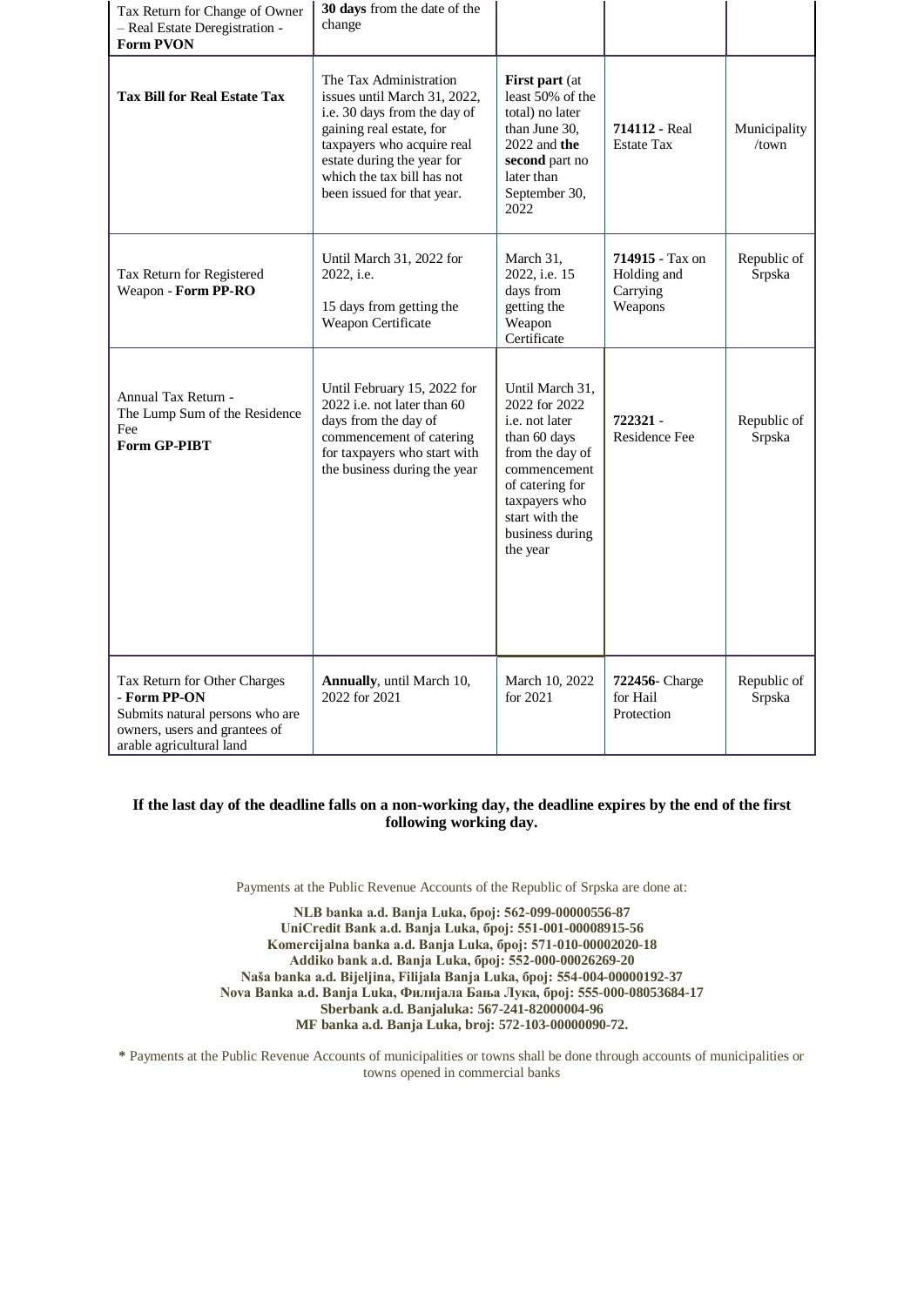| Tax Return for Change of Owner<br>- Real Estate Deregistration -<br><b>Form PVON</b>                                                         | 30 days from the date of the<br>change                                                                                                                                                                                                     |                                                                                                                                                                                            |                                                       |                       |
|----------------------------------------------------------------------------------------------------------------------------------------------|--------------------------------------------------------------------------------------------------------------------------------------------------------------------------------------------------------------------------------------------|--------------------------------------------------------------------------------------------------------------------------------------------------------------------------------------------|-------------------------------------------------------|-----------------------|
| <b>Tax Bill for Real Estate Tax</b>                                                                                                          | The Tax Administration<br>issues until March 31, 2022,<br>i.e. 30 days from the day of<br>gaining real estate, for<br>taxpayers who acquire real<br>estate during the year for<br>which the tax bill has not<br>been issued for that year. | <b>First part</b> (at<br>least 50% of the<br>total) no later<br>than June 30.<br>$2022$ and the<br>second part no<br>later than<br>September 30,<br>2022                                   | <b>714112 - Real</b><br><b>Estate Tax</b>             | Municipality<br>/town |
| Tax Return for Registered<br>Weapon - Form PP-RO                                                                                             | Until March 31, 2022 for<br>2022, <i>i.e.</i><br>15 days from getting the<br>Weapon Certificate                                                                                                                                            | March 31,<br>2022, i.e. 15<br>days from<br>getting the<br>Weapon<br>Certificate                                                                                                            | 714915 - Tax on<br>Holding and<br>Carrying<br>Weapons | Republic of<br>Srpska |
| Annual Tax Return -<br>The Lump Sum of the Residence<br>Fee<br>Form GP-PIBT                                                                  | Until February 15, 2022 for<br>2022 i.e. not later than 60<br>days from the day of<br>commencement of catering<br>for taxpayers who start with<br>the business during the year                                                             | Until March 31,<br>2022 for 2022<br>i.e. not later<br>than 60 days<br>from the day of<br>commencement<br>of catering for<br>taxpayers who<br>start with the<br>business during<br>the year | 722321 -<br><b>Residence Fee</b>                      | Republic of<br>Srpska |
| Tax Return for Other Charges<br>- Form PP-ON<br>Submits natural persons who are<br>owners, users and grantees of<br>arable agricultural land | Annually, until March 10,<br>2022 for 2021                                                                                                                                                                                                 | March 10, 2022<br>for 2021                                                                                                                                                                 | 722456-Charge<br>for Hail<br>Protection               | Republic of<br>Srpska |

## **If the last day of the deadline falls on a non-working day, the deadline expires by the end of the first following working day.**

Payments at the Public Revenue Accounts of the Republic of Srpska are done at:

**NLB banka a.d. Banja Luka, број: 562-099-00000556-87 UniCredit Bank a.d. Banja Luka, број: 551-001-00008915-56 Komercijalna banka a.d. Banja Luka, број: 571-010-00002020-18 Аddiko bank a.d. Banja Luka, број: 552-000-00026269-20 Naša banka a.d. Bijeljina, Filijala Banja Luka, број: 554-004-00000192-37 Nova Banka a.d. Banja Luka, Филијала Бања Лука, број: 555-000-08053684-17 Sberbank a.d. Banjaluka: 567-241-82000004-96 MF banka a.d. Banja Luka, broj: 572-103-00000090-72.**

**\*** Payments at the Public Revenue Accounts of municipalities or towns shall be done through accounts of municipalities or towns opened in commercial banks